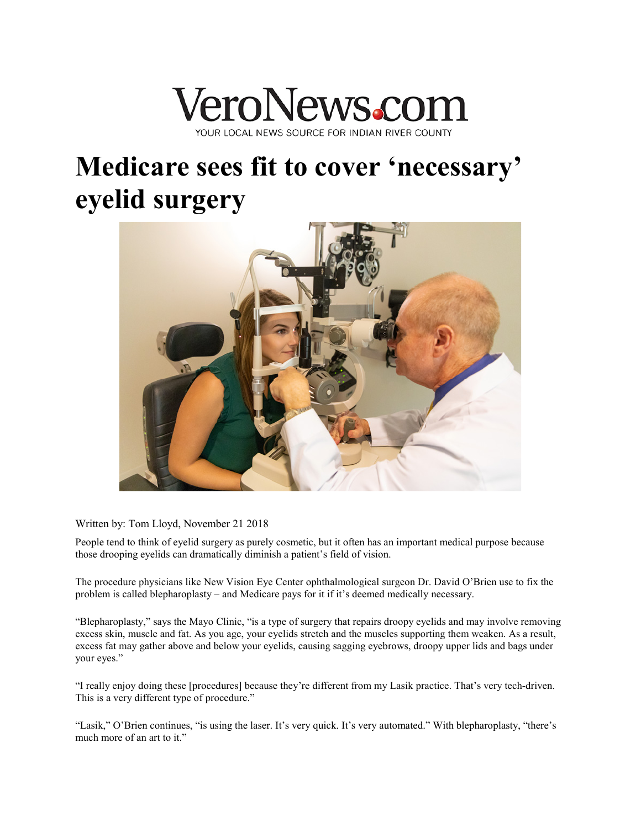

## **Medicare sees fit to cover 'necessary' eyelid surgery**



Written by: Tom Lloyd, November 21 2018

People tend to think of eyelid surgery as purely cosmetic, but it often has an important medical purpose because those drooping eyelids can dramatically diminish a patient's field of vision.

The procedure physicians like New Vision Eye Center ophthalmological surgeon Dr. David O'Brien use to fix the problem is called blepharoplasty – and Medicare pays for it if it's deemed medically necessary.

"Blepharoplasty," says the Mayo Clinic, "is a type of surgery that repairs droopy eyelids and may involve removing excess skin, muscle and fat. As you age, your eyelids stretch and the muscles supporting them weaken. As a result, excess fat may gather above and below your eyelids, causing sagging eyebrows, droopy upper lids and bags under your eyes."

"I really enjoy doing these [procedures] because they're different from my Lasik practice. That's very tech-driven. This is a very different type of procedure."

"Lasik," O'Brien continues, "is using the laser. It's very quick. It's very automated." With blepharoplasty, "there's much more of an art to it."